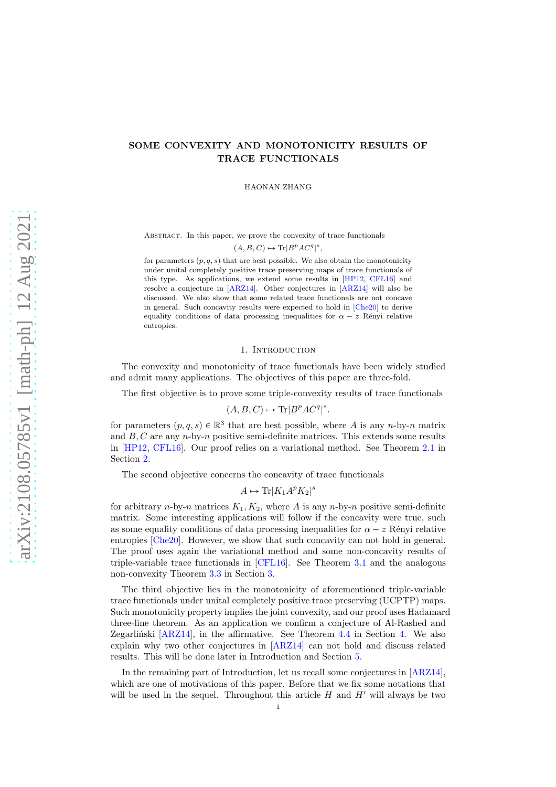# SOME CONVEXITY AND MONOTONICITY RESULTS OF TRACE FUNCTIONALS

HAONAN ZHANG

Abstract. In this paper, we prove the convexity of trace functionals  $(A, B, C) \mapsto \text{Tr}|B^p A C^q|^s,$ 

for parameters  $(p, q, s)$  that are best possible. We also obtain the monotonicity under unital completely positive trace preserving maps of trace functionals of this type. As applications, we extend some results in [\[HP12,](#page-12-0) [CFL16\]](#page-12-1) and resolve a conjecture in [\[ARZ14\]](#page-12-2). Other conjectures in [\[ARZ14\]](#page-12-2) will also be discussed. We also show that some related trace functionals are not concave in general. Such concavity results were expected to hold in [\[Che20\]](#page-12-3) to derive equality conditions of data processing inequalities for  $\alpha - z$  Rényi relative entropies.

## 1. Introduction

The convexity and monotonicity of trace functionals have been widely studied and admit many applications. The objectives of this paper are three-fold.

The first objective is to prove some triple-convexity results of trace functionals

$$
(A, B, C) \mapsto \text{Tr}[B^p A C^q]^s.
$$

for parameters  $(p, q, s) \in \mathbb{R}^3$  that are best possible, where A is any n-by-n matrix and  $B, C$  are any  $n$ -by- $n$  positive semi-definite matrices. This extends some results in [\[HP12,](#page-12-0) [CFL16\]](#page-12-1). Our proof relies on a variational method. See Theorem [2.1](#page-3-0) in Section [2.](#page-3-1)

The second objective concerns the concavity of trace functionals

 $A \mapsto \text{Tr}[K_1 A^p K_2]^s$ 

for arbitrary n-by-n matrices  $K_1, K_2$ , where A is any n-by-n positive semi-definite matrix. Some interesting applications will follow if the concavity were true, such as some equality conditions of data processing inequalities for  $\alpha - z$  Rényi relative entropies [\[Che20\]](#page-12-3). However, we show that such concavity can not hold in general. The proof uses again the variational method and some non-concavity results of triple-variable trace functionals in [\[CFL16\]](#page-12-1). See Theorem [3.1](#page-5-0) and the analogous non-convexity Theorem [3.3](#page-6-0) in Section [3.](#page-5-1)

The third objective lies in the monotonicity of aforementioned triple-variable trace functionals under unital completely positive trace preserving (UCPTP) maps. Such monotonicity property implies the joint convexity, and our proof uses Hadamard three-line theorem. As an application we confirm a conjecture of Al-Rashed and Zegarlinski  $[ARZ14]$ , in the affirmative. See Theorem [4.4](#page-9-0) in Section [4.](#page-7-0) We also explain why two other conjectures in [\[ARZ14\]](#page-12-2) can not hold and discuss related results. This will be done later in Introduction and Section [5.](#page-9-1)

In the remaining part of Introduction, let us recall some conjectures in [\[ARZ14\]](#page-12-2), which are one of motivations of this paper. Before that we fix some notations that will be used in the sequel. Throughout this article  $H$  and  $H'$  will always be two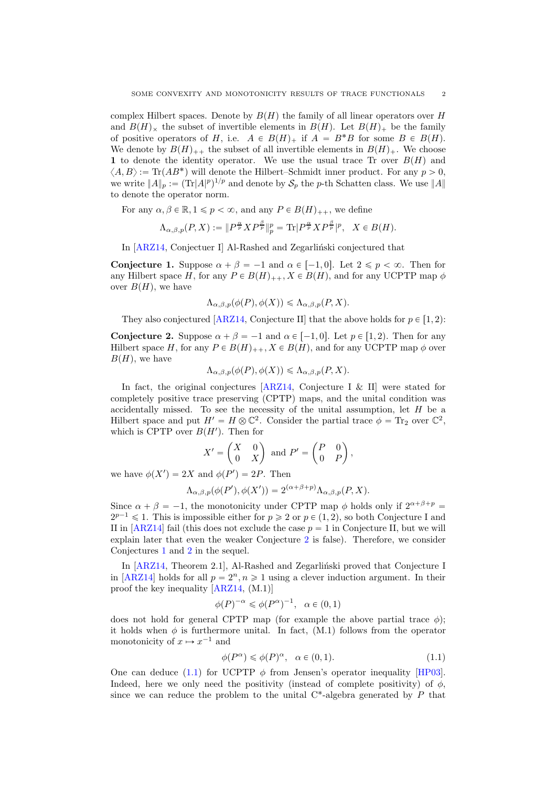complex Hilbert spaces. Denote by  $B(H)$  the family of all linear operators over H and  $B(H)_{\times}$  the subset of invertible elements in  $B(H)$ . Let  $B(H)_{+}$  be the family of positive operators of H, i.e.  $A \in B(H)_+$  if  $A = B^*B$  for some  $B \in B(H)$ . We denote by  $B(H)_{++}$  the subset of all invertible elements in  $B(H)_+$ . We choose 1 to denote the identity operator. We use the usual trace Tr over  $B(H)$  and  $\langle A, B \rangle := \text{Tr}(AB^*)$  will denote the Hilbert–Schmidt inner product. For any  $p > 0$ , we write  $||A||_p := (\text{Tr}|A|^p)^{1/p}$  and denote by  $\mathcal{S}_p$  the p-th Schatten class. We use  $||A||$ to denote the operator norm.

For any  $\alpha, \beta \in \mathbb{R}, 1 \leq p < \infty$ , and any  $P \in B(H)_{++}$ , we define

$$
\Lambda_{\alpha,\beta,p}(P,X):=\|P^{\frac{\alpha}{p}}XP^{\frac{\beta}{p}}\|_p^p=\textup{Tr}|P^{\frac{\alpha}{p}}XP^{\frac{\beta}{p}}|^p,\ \ X\in B(H).
$$

In [\[ARZ14,](#page-12-2) Conjectuer I] Al-Rashed and Zegarlinski conjectured that

<span id="page-1-1"></span>**Conjecture 1.** Suppose  $\alpha + \beta = -1$  and  $\alpha \in [-1, 0]$ . Let  $2 \leq p < \infty$ . Then for any Hilbert space H, for any  $P \in B(H)_{++}$ ,  $X \in B(H)$ , and for any UCPTP map  $\phi$ over  $B(H)$ , we have

$$
\Lambda_{\alpha,\beta,p}(\phi(P),\phi(X)) \leq \Lambda_{\alpha,\beta,p}(P,X).
$$

They also conjectured [\[ARZ14,](#page-12-2) Conjecture II] that the above holds for  $p \in [1, 2)$ :

<span id="page-1-0"></span>**Conjecture 2.** Suppose  $\alpha + \beta = -1$  and  $\alpha \in [-1, 0]$ . Let  $p \in [1, 2)$ . Then for any Hilbert space H, for any  $P \in B(H)_{++}$ ,  $X \in B(H)$ , and for any UCPTP map  $\phi$  over  $B(H)$ , we have

$$
\Lambda_{\alpha,\beta,p}(\phi(P),\phi(X)) \leq \Lambda_{\alpha,\beta,p}(P,X).
$$

In fact, the original conjectures [\[ARZ14,](#page-12-2) Conjecture I & II] were stated for completely positive trace preserving (CPTP) maps, and the unital condition was accidentally missed. To see the necessity of the unital assumption, let H be a Hilbert space and put  $H' = H \otimes \mathbb{C}^2$ . Consider the partial trace  $\phi = \text{Tr}_2$  over  $\mathbb{C}^2$ , which is CPTP over  $B(H')$ . Then for

$$
X' = \begin{pmatrix} X & 0 \\ 0 & X \end{pmatrix} \text{ and } P' = \begin{pmatrix} P & 0 \\ 0 & P \end{pmatrix},
$$

we have  $\phi(X') = 2X$  and  $\phi(P') = 2P$ . Then

$$
\Lambda_{\alpha,\beta,p}(\phi(P'),\phi(X')) = 2^{(\alpha+\beta+p)}\Lambda_{\alpha,\beta,p}(P,X).
$$

Since  $\alpha + \beta = -1$ , the monotonicity under CPTP map  $\phi$  holds only if  $2^{\alpha+\beta+p}$  $2^{p-1} \leq 1$ . This is impossible either for  $p \geq 2$  or  $p \in (1, 2)$ , so both Conjecture I and II in  $[ARZ14]$  fail (this does not exclude the case  $p = 1$  in Conjecture II, but we will explain later that even the weaker Conjecture [2](#page-1-0) is false). Therefore, we consider Conjectures [1](#page-1-1) and [2](#page-1-0) in the sequel.

In  $[ARZ14, Theorem 2.1],$  Al-Rashed and Zegarlinski proved that Conjecture I in [\[ARZ14\]](#page-12-2) holds for all  $p = 2<sup>n</sup>$ ,  $n \ge 1$  using a clever induction argument. In their proof the key inequality [\[ARZ14,](#page-12-2) (M.1)]

$$
\phi(P)^{-\alpha} \leq \phi(P^{\alpha})^{-1}, \quad \alpha \in (0,1)
$$

does not hold for general CPTP map (for example the above partial trace  $\phi$ ); it holds when  $\phi$  is furthermore unital. In fact, (M.1) follows from the operator monotonicity of  $x \mapsto x^{-1}$  and

<span id="page-1-2"></span>
$$
\phi(P^{\alpha}) \leq \phi(P)^{\alpha}, \quad \alpha \in (0, 1). \tag{1.1}
$$

One can deduce [\(1.1\)](#page-1-2) for UCPTP  $\phi$  from Jensen's operator inequality [\[HP03\]](#page-12-4). Indeed, here we only need the positivity (instead of complete positivity) of  $\phi$ , since we can reduce the problem to the unital  $C^*$ -algebra generated by P that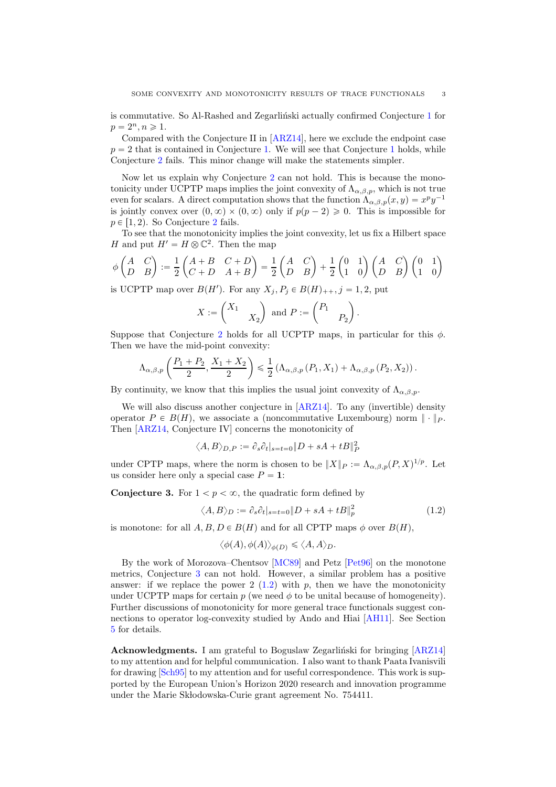is commutative. So Al-Rashed and Zegarliński actually confirmed Conjecture  $1$  for  $p = 2^n, n \geq 1.$ 

Compared with the Conjecture II in [\[ARZ14\]](#page-12-2), here we exclude the endpoint case  $p = 2$  that is contained in Conjecture [1.](#page-1-1) We will see that Conjecture [1](#page-1-1) holds, while Conjecture [2](#page-1-0) fails. This minor change will make the statements simpler.

Now let us explain why Conjecture [2](#page-1-0) can not hold. This is because the monotonicity under UCPTP maps implies the joint convexity of  $\Lambda_{\alpha,\beta,p}$ , which is not true even for scalars. A direct computation shows that the function  $\Lambda_{\alpha,\beta,p}(x,y) = x^p y^{-1}$ is jointly convex over  $(0, \infty) \times (0, \infty)$  only if  $p(p - 2) \geq 0$ . This is impossible for  $p \in [1, 2)$  $p \in [1, 2)$  $p \in [1, 2)$ . So Conjecture 2 fails.

To see that the monotonicity implies the joint convexity, let us fix a Hilbert space H and put  $H' = H \otimes \mathbb{C}^2$ . Then the map

$$
\phi\begin{pmatrix} A & C \\ D & B \end{pmatrix} := \frac{1}{2} \begin{pmatrix} A+B & C+D \\ C+D & A+B \end{pmatrix} = \frac{1}{2} \begin{pmatrix} A & C \\ D & B \end{pmatrix} + \frac{1}{2} \begin{pmatrix} 0 & 1 \\ 1 & 0 \end{pmatrix} \begin{pmatrix} A & C \\ D & B \end{pmatrix} \begin{pmatrix} 0 & 1 \\ 1 & 0 \end{pmatrix}
$$

is UCPTP map over  $B(H')$ . For any  $X_j, P_j \in B(H)_{++}, j = 1, 2$ , put

$$
X := \begin{pmatrix} X_1 \\ & X_2 \end{pmatrix} \text{ and } P := \begin{pmatrix} P_1 \\ & P_2 \end{pmatrix}.
$$

Suppose that Conjecture [2](#page-1-0) holds for all UCPTP maps, in particular for this  $\phi$ . Then we have the mid-point convexity:

$$
\Lambda_{\alpha,\beta,p}\left(\frac{P_1+P_2}{2},\frac{X_1+X_2}{2}\right) \leq \frac{1}{2}\left(\Lambda_{\alpha,\beta,p}\left(P_1,X_1\right)+\Lambda_{\alpha,\beta,p}\left(P_2,X_2\right)\right).
$$

By continuity, we know that this implies the usual joint convexity of  $\Lambda_{\alpha,\beta,p}$ .

We will also discuss another conjecture in [\[ARZ14\]](#page-12-2). To any (invertible) density operator  $P \in B(H)$ , we associate a (noncommutative Luxembourg) norm  $\|\cdot\|_P$ . Then [\[ARZ14,](#page-12-2) Conjecture IV] concerns the monotonicity of

$$
\langle A, B \rangle_{D,P} := \partial_s \partial_t |_{s=t=0} \| D + sA + tB \|_P^2
$$

under CPTP maps, where the norm is chosen to be  $||X||_P := \Lambda_{\alpha,\beta,p}(P,X)^{1/p}$ . Let us consider here only a special case  $P = 1$ :

<span id="page-2-0"></span>**Conjecture 3.** For  $1 < p < \infty$ , the quadratic form defined by

<span id="page-2-1"></span>
$$
\langle A, B \rangle_D := \partial_s \partial_t |_{s=t=0} \| D + sA + tB \|_p^2 \tag{1.2}
$$

is monotone: for all  $A, B, D \in B(H)$  and for all CPTP maps  $\phi$  over  $B(H)$ ,

$$
\langle \phi(A), \phi(A) \rangle_{\phi(D)} \leq \langle A, A \rangle_D.
$$

By the work of Morozova–Chentsov [\[MC89\]](#page-12-5) and Petz [\[Pet96\]](#page-13-0) on the monotone metrics, Conjecture [3](#page-2-0) can not hold. However, a similar problem has a positive answer: if we replace the power 2  $(1.2)$  with p, then we have the monotonicity under UCPTP maps for certain  $p$  (we need  $\phi$  to be unital because of homogeneity). Further discussions of monotonicity for more general trace functionals suggest connections to operator log-convexity studied by Ando and Hiai [\[AH11\]](#page-12-6). See Section [5](#page-9-1) for details.

Acknowledgments. I am grateful to Boguslaw Zegarliński for bringing [\[ARZ14\]](#page-12-2) to my attention and for helpful communication. I also want to thank Paata Ivanisvili for drawing [\[Sch95\]](#page-13-1) to my attention and for useful correspondence. This work is supported by the European Union's Horizon 2020 research and innovation programme under the Marie Sk lodowska-Curie grant agreement No. 754411.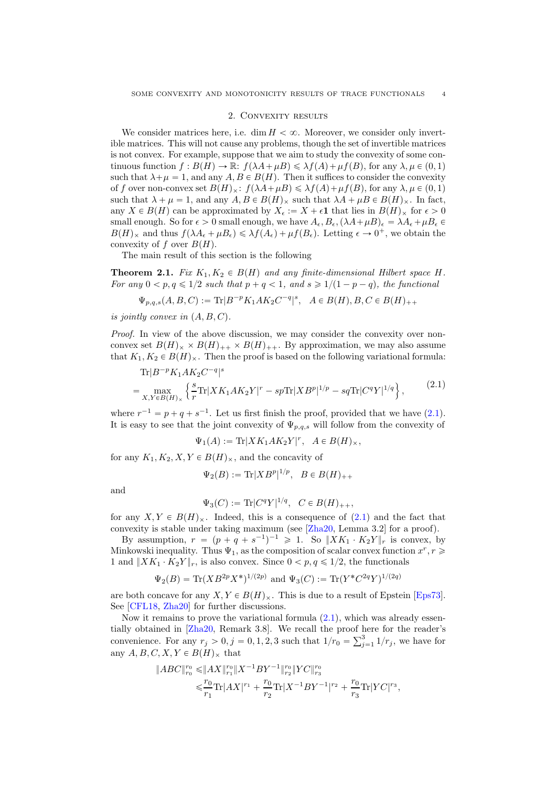# 2. Convexity results

<span id="page-3-1"></span>We consider matrices here, i.e. dim  $H < \infty$ . Moreover, we consider only invertible matrices. This will not cause any problems, though the set of invertible matrices is not convex. For example, suppose that we aim to study the convexity of some continuous function  $f : B(H) \to \mathbb{R}: f(\lambda A + \mu B) \leq \lambda f(A) + \mu f(B)$ , for any  $\lambda, \mu \in (0, 1)$ such that  $\lambda + \mu = 1$ , and any  $A, B \in B(H)$ . Then it suffices to consider the convexity of f over non-convex set  $B(H)_{\times}$ :  $f(\lambda A+\mu B)\leq \lambda f(A)+\mu f(B)$ , for any  $\lambda, \mu \in (0, 1)$ such that  $\lambda + \mu = 1$ , and any  $A, B \in B(H)_{\times}$  such that  $\lambda A + \mu B \in B(H)_{\times}$ . In fact, any  $X \in B(H)$  can be approximated by  $X_{\epsilon} := X + \epsilon \mathbf{1}$  that lies in  $B(H)_{\times}$  for  $\epsilon > 0$ small enough. So for  $\epsilon > 0$  small enough, we have  $A_{\epsilon}, B_{\epsilon}, (\lambda A + \mu B)_{\epsilon} = \lambda A_{\epsilon} + \mu B_{\epsilon} \in$  $B(H)_{\times}$  and thus  $f(\lambda A_{\epsilon} + \mu B_{\epsilon}) \leq \lambda f(A_{\epsilon}) + \mu f(B_{\epsilon}).$  Letting  $\epsilon \to 0^+$ , we obtain the convexity of f over  $B(H)$ .

The main result of this section is the following

<span id="page-3-0"></span>**Theorem 2.1.** Fix  $K_1, K_2 \in B(H)$  and any finite-dimensional Hilbert space H. For any  $0 < p, q \leq 1/2$  such that  $p + q < 1$ , and  $s \geq 1/(1 - p - q)$ , the functional

 $\Psi_{p,q,s}(A, B, C) := \text{Tr}|B^{-p}K_1AK_2C^{-q}|^s, \ \ A \in B(H), B, C \in B(H)_{++}$ 

is jointly convex in  $(A, B, C)$ .

Proof. In view of the above discussion, we may consider the convexity over nonconvex set  $B(H)_{\times} \times B(H)_{++} \times B(H)_{++}$ . By approximation, we may also assume that  $K_1, K_2 \in B(H)_{\times}$ . Then the proof is based on the following variational formula:

<span id="page-3-2"></span>
$$
\begin{split} &\text{Tr}|B^{-p}K_1AK_2C^{-q}|^s\\ &=\max_{X,Y\in B(H)_\times}\left\{\frac{s}{r}\text{Tr}|XK_1AK_2Y|^r - sp\text{Tr}|XB^p|^{1/p} - sq\text{Tr}|C^qY|^{1/q}\right\},\end{split} \tag{2.1}
$$

where  $r^{-1} = p + q + s^{-1}$ . Let us first finish the proof, provided that we have [\(2.1\)](#page-3-2). It is easy to see that the joint convexity of  $\Psi_{p,q,s}$  will follow from the convexity of

$$
\Psi_1(A) := \text{Tr}[XK_1AK_2Y]^r, \quad A \in B(H)_\times,
$$

for any  $K_1, K_2, X, Y \in B(H)_\times$ , and the concavity of

 $\Psi_2(B) := {\rm Tr}|X B^p|^{1/p}, \ \ B \in B(H)_{++}$ 

and

$$
\Psi_3(C) := \text{Tr}|C^qY|^{1/q}, \ C \in B(H)_{++},
$$

for any  $X, Y \in B(H)_{\times}$ . Indeed, this is a consequence of [\(2.1\)](#page-3-2) and the fact that convexity is stable under taking maximum (see [\[Zha20,](#page-13-2) Lemma 3.2] for a proof).

By assumption,  $r = (p + q + s^{-1})^{-1} \geq 1$ . So  $||XK_1 \cdot K_2Y||_r$  is convex, by Minkowski inequality. Thus  $\Psi_1$ , as the composition of scalar convex function  $x^r, r \geq 0$ 1 and  $||XK_1 \cdot K_2Y||_r$ , is also convex. Since  $0 < p, q \leq 1/2$ , the functionals

$$
\Psi_2(B) = \text{Tr}(XB^{2p}X^*)^{1/(2p)}
$$
 and  $\Psi_3(C) := \text{Tr}(Y^*C^{2q}Y)^{1/(2q)}$ 

are both concave for any  $X, Y \in B(H)_{\times}$ . This is due to a result of Epstein [\[Eps73\]](#page-12-7). See [\[CFL18,](#page-12-8) [Zha20\]](#page-13-2) for further discussions.

Now it remains to prove the variational formula [\(2.1\)](#page-3-2), which was already essentially obtained in [\[Zha20,](#page-13-2) Remark 3.8]. We recall the proof here for the reader's convenience. For any  $r_j > 0, j = 0, 1, 2, 3$  such that  $1/r_0 = \sum_{j=1}^3 1/r_j$ , we have for any  $A, B, C, X, Y \in B(H)_{\times}$  that

$$
\begin{aligned} \|ABC\|^{r_0}_{r_0} \leqslant & \|AX\|^{r_0}_{r_1} \|X^{-1}BY^{-1}\|^{r_0}_{r_2} \|YC\|^{r_0}_{r_3} \\ \leqslant & \frac{r_0}{r_1} \text{Tr} |AX|^{r_1} + \frac{r_0}{r_2} \text{Tr} |X^{-1}BY^{-1}|^{r_2} + \frac{r_0}{r_3} \text{Tr} |YC|^{r_3}, \end{aligned}
$$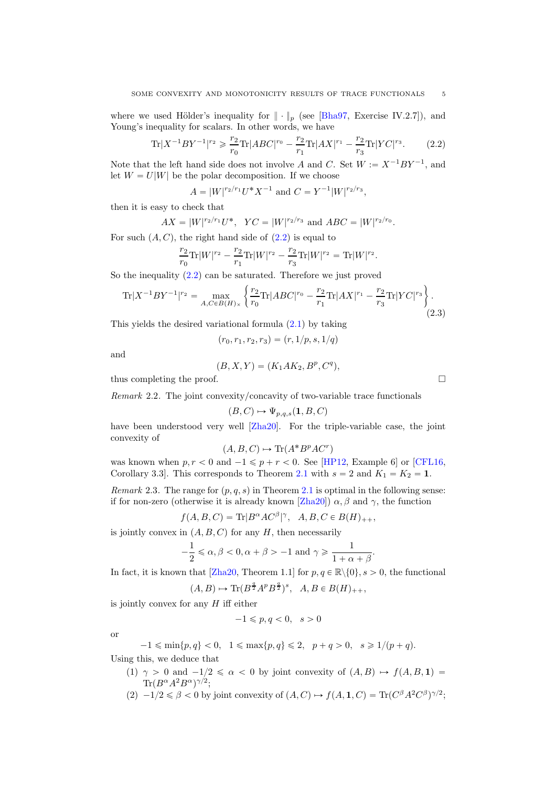where we used Hölder's inequality for  $\|\cdot\|_p$  (see [\[Bha97,](#page-12-9) Exercise IV.2.7]), and Young's inequality for scalars. In other words, we have

<span id="page-4-0"></span>
$$
\text{Tr}|X^{-1}BY^{-1}|^{r_2} \geqslant \frac{r_2}{r_0}\text{Tr}|ABC|^{r_0} - \frac{r_2}{r_1}\text{Tr}|AX|^{r_1} - \frac{r_2}{r_3}\text{Tr}|YC|^{r_3}.\tag{2.2}
$$

Note that the left hand side does not involve A and C. Set  $W := X^{-1}BY^{-1}$ , and let  $W = U|W|$  be the polar decomposition. If we choose

$$
A = |W|^{r_2/r_1} U^* X^{-1} \text{ and } C = Y^{-1} |W|^{r_2/r_3},
$$

then it is easy to check that

$$
AX = |W|^{r_2/r_1}U^*
$$
,  $YC = |W|^{r_2/r_3}$  and  $ABC = |W|^{r_2/r_0}$ .

For such  $(A, C)$ , the right hand side of  $(2.2)$  is equal to

$$
\frac{r_2}{r_0}\text{Tr}|W|^{r_2}-\frac{r_2}{r_1}\text{Tr}|W|^{r_2}-\frac{r_2}{r_3}\text{Tr}|W|^{r_2}=\text{Tr}|W|^{r_2}.
$$

So the inequality [\(2.2\)](#page-4-0) can be saturated. Therefore we just proved

<span id="page-4-1"></span>
$$
\text{Tr}|X^{-1}BY^{-1}|^{r_2} = \max_{A,C \in B(H)_\times} \left\{ \frac{r_2}{r_0} \text{Tr}|ABC|^{r_0} - \frac{r_2}{r_1} \text{Tr}|AX|^{r_1} - \frac{r_2}{r_3} \text{Tr}|YC|^{r_3} \right\}.
$$
\n(2.3)

This yields the desired variational formula [\(2.1\)](#page-3-2) by taking

$$
(r_0, r_1, r_2, r_3) = (r, 1/p, s, 1/q)
$$

and

$$
(B, X, Y) = (K_1 A K_2, B^p, C^q),
$$

thus completing the proof.

Remark 2.2. The joint convexity/concavity of two-variable trace functionals

$$
(B, C) \mapsto \Psi_{p,q,s}(1, B, C)
$$

have been understood very well [\[Zha20\]](#page-13-2). For the triple-variable case, the joint convexity of

$$
(A, B, C) \mapsto \text{Tr}(A^*B^pAC^r)
$$

was known when  $p, r < 0$  and  $-1 \leq p + r < 0$ . See [\[HP12,](#page-12-0) Example 6] or [\[CFL16,](#page-12-1) Corollary 3.3]. This corresponds to Theorem [2.1](#page-3-0) with  $s = 2$  and  $K_1 = K_2 = 1$ .

Remark 2.3. The range for  $(p, q, s)$  in Theorem [2.1](#page-3-0) is optimal in the following sense: if for non-zero (otherwise it is already known [\[Zha20\]](#page-13-2))  $\alpha$ ,  $\beta$  and  $\gamma$ , the function

$$
f(A, B, C) = \text{Tr}|B^{\alpha}AC^{\beta}|\gamma, A, B, C \in B(H)_{++},
$$

is jointly convex in  $(A, B, C)$  for any H, then necessarily

$$
-\frac{1}{2} \leq \alpha, \beta < 0, \alpha + \beta > -1 \text{ and } \gamma \geqslant \frac{1}{1 + \alpha + \beta}.
$$

In fact, it is known that [\[Zha20,](#page-13-2) Theorem 1.1] for  $p, q \in \mathbb{R} \setminus \{0\}, s > 0$ , the functional

 $(A, B) \mapsto \text{Tr}(B^{\frac{q}{2}}A^p B^{\frac{q}{2}})^s$ ,  $A, B \in B(H)_{++}$ ,

is jointly convex for any  $H$  iff either

$$
-1\leqslant p,q<0,\ \ s>0
$$

or

 $-1 \le \min\{p, q\} < 0, \quad 1 \le \max\{p, q\} \le 2, \quad p + q > 0, \quad s \ge 1/(p + q).$ Using this, we deduce that

- (1)  $\gamma > 0$  and  $-1/2 \le \alpha < 0$  by joint convexity of  $(A, B) \rightarrow f(A, B, 1)$  $\text{Tr}(B^{\alpha}A^2B^{\alpha})^{\gamma/2};$
- $(2)$   $-1/2 \leq \beta < 0$  by joint convexity of  $(A, C) \rightarrow f(A, 1, C) = \text{Tr}(C^{\beta} A^2 C^{\beta})^{\gamma/2};$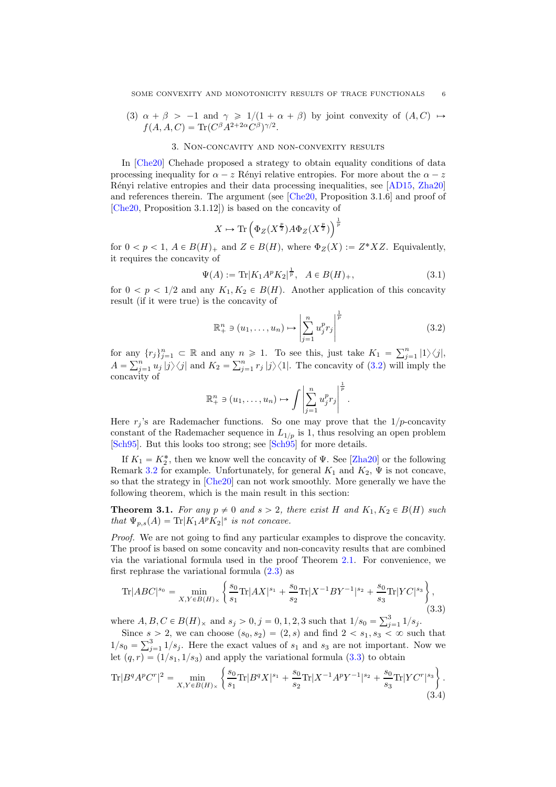<span id="page-5-1"></span>(3)  $\alpha + \beta > -1$  and  $\gamma \ge 1/(1 + \alpha + \beta)$  by joint convexity of  $(A, C) \rightarrow$  $f(A, A, C) = \text{Tr}(C^{\beta} A^{2+2\alpha} C^{\beta})^{\gamma/2}.$ 

#### 3. Non-concavity and non-convexity results

In [\[Che20\]](#page-12-3) Chehade proposed a strategy to obtain equality conditions of data processing inequality for  $\alpha - z$  Rényi relative entropies. For more about the  $\alpha - z$ Rényi relative entropies and their data processing inequalities, see [\[AD15,](#page-12-10) [Zha20\]](#page-13-2) and references therein. The argument (see [\[Che20,](#page-12-3) Proposition 3.1.6] and proof of [\[Che20,](#page-12-3) Proposition 3.1.12]) is based on the concavity of

$$
X \mapsto \text{Tr}\left(\Phi_Z(X^{\frac{p}{2}})A\Phi_Z(X^{\frac{p}{2}})\right)^{\frac{1}{p}}
$$

for  $0 < p < 1$ ,  $A \in B(H)<sub>+</sub>$  and  $Z \in B(H)$ , where  $\Phi_Z(X) := Z^*XZ$ . Equivalently, it requires the concavity of

$$
\Psi(A) := \text{Tr}|K_1 A^p K_2|^{\frac{1}{p}}, \quad A \in B(H)_+, \tag{3.1}
$$

for  $0 < p < 1/2$  and any  $K_1, K_2 \in B(H)$ . Another application of this concavity result (if it were true) is the concavity of

<span id="page-5-2"></span>
$$
\mathbb{R}^n_+ \ni (u_1, \dots, u_n) \mapsto \left| \sum_{j=1}^n u_j^p r_j \right|^{\frac{1}{p}} \tag{3.2}
$$

for any  $\{r_j\}_{j=1}^n \subset \mathbb{R}$  and any  $n \geq 1$ . To see this, just take  $K_1 = \sum_{j=1}^n |1\rangle\langle j|$ ,  $A = \sum_{j=1}^{n} u_j |j\rangle\langle j|$  and  $K_2 = \sum_{j=1}^{n} r_j |j\rangle\langle 1|$ . The concavity of [\(3.2\)](#page-5-2) will imply the concavity of 1

$$
\mathbb{R}^n_+ \ni (u_1,\ldots,u_n) \mapsto \int \left| \sum_{j=1}^n u_j^p r_j \right|^{\frac{1}{p}}.
$$

Here  $r_i$ 's are Rademacher functions. So one may prove that the  $1/p$ -concavity constant of the Rademacher sequence in  $L_{1/p}$  is 1, thus resolving an open problem [\[Sch95\]](#page-13-1). But this looks too strong; see [\[Sch95\]](#page-13-1) for more details.

If  $K_1 = K_2^*$ , then we know well the concavity of  $\Psi$ . See [\[Zha20\]](#page-13-2) or the following Remark [3.2](#page-6-1) for example. Unfortunately, for general  $K_1$  and  $K_2$ ,  $\Psi$  is not concave, so that the strategy in [\[Che20\]](#page-12-3) can not work smoothly. More generally we have the following theorem, which is the main result in this section:

<span id="page-5-0"></span>**Theorem 3.1.** For any  $p \neq 0$  and  $s > 2$ , there exist H and  $K_1, K_2 \in B(H)$  such that  $\Psi_{p,s}(A) = \text{Tr}|K_1 A^p K_2|^s$  is not concave.

Proof. We are not going to find any particular examples to disprove the concavity. The proof is based on some concavity and non-concavity results that are combined via the variational formula used in the proof Theorem [2.1.](#page-3-0) For convenience, we first rephrase the variational formula [\(2.3\)](#page-4-1) as

<span id="page-5-3"></span>
$$
\text{Tr}|ABC|^{s_0} = \min_{X,Y \in B(H)_\times} \left\{ \frac{s_0}{s_1} \text{Tr}|AX|^{s_1} + \frac{s_0}{s_2} \text{Tr}|X^{-1}BY^{-1}|^{s_2} + \frac{s_0}{s_3} \text{Tr}|YC|^{s_3} \right\},\tag{3.3}
$$

where  $A, B, C \in B(H)_{\times}$  and  $s_j > 0, j = 0, 1, 2, 3$  such that  $1/s_0 = \sum_{j=1}^{3} 1/s_j$ .

Since  $s > 2$ , we can choose  $(s_0, s_2) = (2, s)$  and find  $2 < s_1, s_3 < \infty$  such that  $1/s_0 = \sum_{j=1}^3 1/s_j$ . Here the exact values of  $s_1$  and  $s_3$  are not important. Now we let  $(q, r) = (1/s_1, 1/s_3)$  and apply the variational formula  $(3.3)$  to obtain

<span id="page-5-4"></span>
$$
\text{Tr}|B^q A^p C^r|^2 = \min_{X,Y \in B(H)_\times} \left\{ \frac{s_0}{s_1} \text{Tr}|B^q X|^{s_1} + \frac{s_0}{s_2} \text{Tr}|X^{-1} A^p Y^{-1}|^{s_2} + \frac{s_0}{s_3} \text{Tr}|Y C^r|^{s_3} \right\}.
$$
\n(3.4)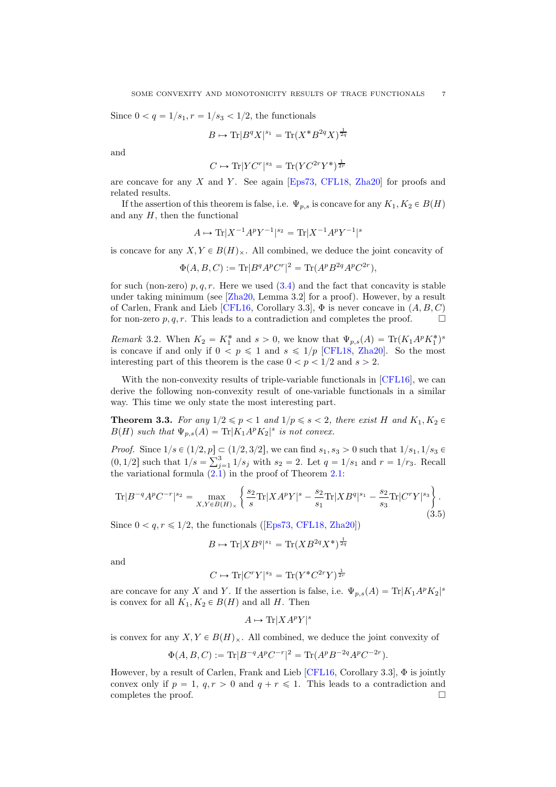Since  $0 < q = 1/s_1, r = 1/s_3 < 1/2$ , the functionals

$$
B \mapsto \text{Tr}|B^q X|^{s_1} = \text{Tr}(X^* B^{2q} X)^{\frac{1}{2q}}
$$

and

$$
C \mapsto \text{Tr}|Y C^r|^{s_3} = \text{Tr}(Y C^{2r} Y^*)^{\frac{1}{2r}}
$$

are concave for any  $X$  and  $Y$ . See again [\[Eps73,](#page-12-7) [CFL18,](#page-12-8) [Zha20\]](#page-13-2) for proofs and related results.

If the assertion of this theorem is false, i.e.  $\Psi_{p,s}$  is concave for any  $K_1, K_2 \in B(H)$ and any  $H$ , then the functional

$$
A \mapsto \text{Tr}|X^{-1}A^pY^{-1}|^{s_2} = \text{Tr}|X^{-1}A^pY^{-1}|^{s}
$$

is concave for any  $X, Y \in B(H)_{\times}$ . All combined, we deduce the joint concavity of

$$
\Phi(A, B, C) := \text{Tr}|B^q A^p C^r|^2 = \text{Tr}(A^p B^{2q} A^p C^{2r}),
$$

for such (non-zero)  $p, q, r$ . Here we used  $(3.4)$  and the fact that concavity is stable under taking minimum (see [\[Zha20,](#page-13-2) Lemma 3.2] for a proof). However, by a result of Carlen, Frank and Lieb [\[CFL16,](#page-12-1) Corollary 3.3],  $\Phi$  is never concave in  $(A, B, C)$ for non-zero  $p, q, r$ . This leads to a contradiction and completes the proof.  $\Box$ 

<span id="page-6-1"></span>*Remark* 3.2. When  $K_2 = K_1^*$  and  $s > 0$ , we know that  $\Psi_{p,s}(A) = \text{Tr}(K_1 A^p K_1^*)^s$ is concave if and only if  $0 < p \le 1$  and  $s \le 1/p$  [\[CFL18,](#page-12-8) [Zha20\]](#page-13-2). So the most interesting part of this theorem is the case  $0 < p < 1/2$  and  $s > 2$ .

With the non-convexity results of triple-variable functionals in [\[CFL16\]](#page-12-1), we can derive the following non-convexity result of one-variable functionals in a similar way. This time we only state the most interesting part.

<span id="page-6-0"></span>**Theorem 3.3.** For any  $1/2 \leq p < 1$  and  $1/p \leq s < 2$ , there exist H and  $K_1, K_2 \in$  $B(H)$  such that  $\Psi_{p,s}(A) = \text{Tr}|K_1 A^p K_2|^{s}$  is not convex.

*Proof.* Since  $1/s \in (1/2, p] \subset (1/2, 3/2]$ , we can find  $s_1, s_3 > 0$  such that  $1/s_1, 1/s_3 \in$  $(0, 1/2]$  such that  $1/s = \sum_{j=1}^{3} 1/s_j$  with  $s_2 = 2$ . Let  $q = 1/s_1$  and  $r = 1/r_3$ . Recall the variational formula  $(2.1)$  in the proof of Theorem [2.1:](#page-3-0)

$$
\text{Tr}|B^{-q}A^{p}C^{-r}|^{s_2} = \max_{X,Y \in B(H)_{\times}} \left\{ \frac{s_2}{s} \text{Tr}|X A^{p}Y|^{s} - \frac{s_2}{s_1} \text{Tr}|XB^{q}|^{s_1} - \frac{s_2}{s_3} \text{Tr}|C^{r}Y|^{s_3} \right\}.
$$
\n(3.5)

Since  $0 < q, r \leq 1/2$ , the functionals ([\[Eps73,](#page-12-7) [CFL18,](#page-12-8) [Zha20\]](#page-13-2))

$$
B \mapsto \text{Tr}[XB^q]^{s_1} = \text{Tr}(XB^{2q}X^*)^{\frac{1}{2q}}
$$

and

$$
C \mapsto \text{Tr}|C^rY|^{s_3} = \text{Tr}(Y^*C^{2r}Y)^{\frac{1}{2r}}
$$

are concave for any X and Y. If the assertion is false, i.e.  $\Psi_{p,s}(A) = \text{Tr}|K_1A^pK_2|^s$ is convex for all  $K_1, K_2 \in B(H)$  and all H. Then

$$
A \mapsto \text{Tr}[X A^p Y]^s
$$

is convex for any  $X, Y \in B(H)_{\times}$ . All combined, we deduce the joint convexity of

$$
\Phi(A, B, C) := \text{Tr}|B^{-q}A^p C^{-r}|^2 = \text{Tr}(A^p B^{-2q} A^p C^{-2r}).
$$

However, by a result of Carlen, Frank and Lieb  $[CFL16, Corollary 3.3], \Phi$  is jointly convex only if  $p = 1$ ,  $q, r > 0$  and  $q + r \leq 1$ . This leads to a contradiction and completes the proof.  $\Box$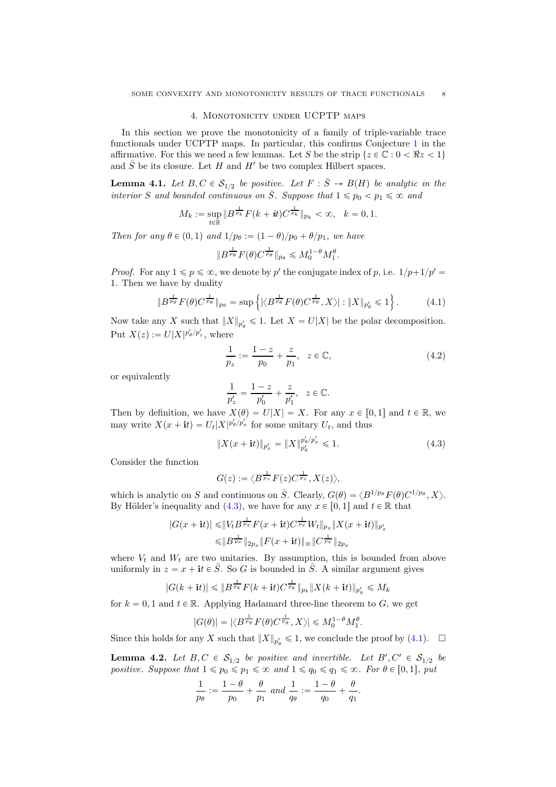#### 4. Monotonicity under UCPTP maps

<span id="page-7-0"></span>In this section we prove the monotonicity of a family of triple-variable trace functionals under UCPTP maps. In particular, this confirms Conjecture [1](#page-1-1) in the affirmative. For this we need a few lemmas. Let S be the strip  $\{z \in \mathbb{C} : 0 \leq \Re z \leq 1\}$ and  $\overline{S}$  be its closure. Let H and H' be two complex Hilbert spaces.

<span id="page-7-4"></span>**Lemma 4.1.** Let  $B, C \in S_{1/2}$  be positive. Let  $F : \overline{S} \to B(H)$  be analytic in the interior S and bounded continuous on  $\overline{S}$ . Suppose that  $1 \leq p_0 < p_1 \leq \infty$  and

$$
M_k := \sup_{t \in \mathbb{R}} \|B^{\frac{1}{p_k}} F(k+it) C^{\frac{1}{p_k}}\|_{p_k} < \infty, \quad k = 0, 1.
$$

Then for any  $\theta \in (0, 1)$  and  $1/p_{\theta} := (1 - \theta)/p_0 + \theta/p_1$ , we have

$$
\|B^{\frac{1}{p_\theta}}F(\theta)C^{\frac{1}{p_\theta}}\|_{p_\theta}\leqslant M_0^{1-\theta}M_1^{\theta}.
$$

*Proof.* For any  $1 \leq p \leq \infty$ , we denote by p' the conjugate index of p, i.e.  $1/p+1/p' =$ 1. Then we have by duality

<span id="page-7-2"></span>
$$
\|B^{\frac{1}{p_{\theta}}}F(\theta)C^{\frac{1}{p_{\theta}}}\|_{p_{\theta}} = \sup\left\{ |\langle B^{\frac{1}{p_{\theta}}}F(\theta)C^{\frac{1}{p_{\theta}}}, X\rangle| : \|X\|_{p'_{\theta}} \leq 1 \right\}.
$$
 (4.1)

Now take any X such that  $||X||_{p'_\theta} \leq 1$ . Let  $X = U|X|$  be the polar decomposition. Put  $X(z) := U|X|^{p'_{\theta}/p'_{z}},$  where

<span id="page-7-3"></span>
$$
\frac{1}{p_z} := \frac{1-z}{p_0} + \frac{z}{p_1}, \quad z \in \mathbb{C},
$$
\n(4.2)

or equivalently

$$
\frac{1}{p'_z} = \frac{1-z}{p'_0} + \frac{z}{p'_1}, \quad z \in \mathbb{C}.
$$

Then by definition, we have  $X(\theta) = U|X| = X$ . For any  $x \in [0, 1]$  and  $t \in \mathbb{R}$ , we may write  $X(x + it) = U_t |X|^{p'_{\theta}/p'_{x}}$  for some unitary  $U_t$ , and thus

<span id="page-7-1"></span>
$$
||X(x + it)||_{p'_x} = ||X||_{p'_\theta}^{p'_\theta/p'_x} \le 1.
$$
\n(4.3)

Consider the function

$$
G(z) := \langle B^{\frac{1}{p_z}} F(z) C^{\frac{1}{p_z}}, X(z) \rangle,
$$

which is analytic on S and continuous on  $\overline{S}$ . Clearly,  $G(\theta) = \langle B^{1/p_{\theta}} F(\theta) C^{1/p_{\theta}}, X \rangle$ . By Hölder's inequality and [\(4.3\)](#page-7-1), we have for any  $x \in [0, 1]$  and  $t \in \mathbb{R}$  that

$$
|G(x+{\bf i}t)| \leq |V_t B^{\frac{1}{p_x}} F(x+{\bf i}t) C^{\frac{1}{p_x}} W_t \|_{p_x} \|X(x+{\bf i}t)\|_{p'_x}
$$
  

$$
\leq |B^{\frac{1}{p_x}}\|_{2p_x} \|F(x+{\bf i}t)\|_{\infty} \|C^{\frac{1}{p_x}}\|_{2p_x}
$$

where  $V_t$  and  $W_t$  are two unitaries. By assumption, this is bounded from above uniformly in  $z = x + it \in \overline{S}$ . So G is bounded in  $\overline{S}$ . A similar argument gives

$$
|G(k+{\bf i}t)| \leq \|B^{\frac{1}{p_k}}F(k+{\bf i}t)C^{\frac{1}{p_k}}\|_{p_k} \|X(k+{\bf i}t)\|_{p'_k} \leq M_k
$$

for  $k = 0, 1$  and  $t \in \mathbb{R}$ . Applying Hadamard three-line theorem to G, we get

$$
|G(\theta)|=|\langle B^\frac{1}{p_\theta}F(\theta)C^\frac{1}{p_\theta},X\rangle|\leqslant M_0^{1-\theta}M_1^\theta.
$$

Since this holds for any X such that  $||X||_{p'_\theta} \leq 1$ , we conclude the proof by [\(4.1\)](#page-7-2).  $\Box$ 

<span id="page-7-5"></span>**Lemma 4.2.** Let  $B, C \in S_{1/2}$  be positive and invertible. Let  $B', C' \in S_{1/2}$  be positive. Suppose that  $1 \leq p_0 \leq p_1 \leq \infty$  and  $1 \leq q_0 \leq q_1 \leq \infty$ . For  $\theta \in [0, 1]$ , put

$$
\frac{1}{p_\theta}:=\frac{1-\theta}{p_0}+\frac{\theta}{p_1} \ and \ \frac{1}{q_\theta}:=\frac{1-\theta}{q_0}+\frac{\theta}{q_1}.
$$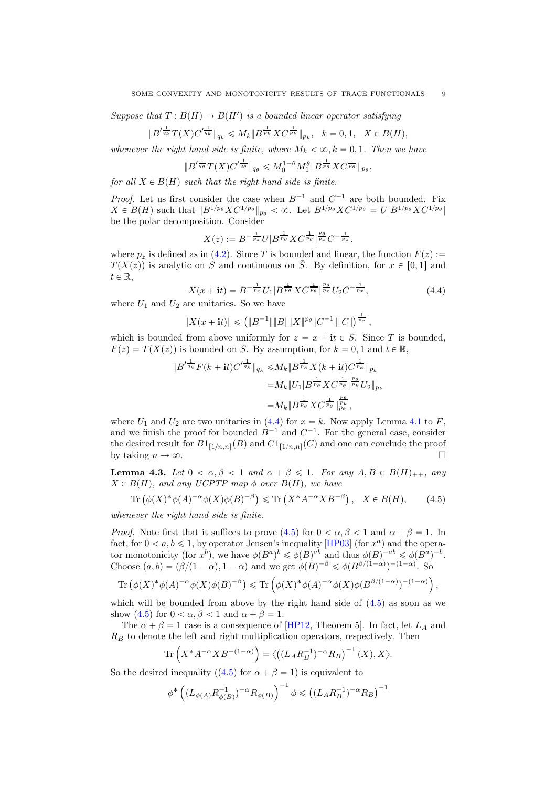Suppose that  $T : B(H) \to B(H')$  is a bounded linear operator satisfying

$$
\|B'^{\frac{1}{q_k}}T(X)C'^{\frac{1}{q_k}}\|_{q_k}\leqslant M_k\|B^{\frac{1}{p_k}}XC^{\frac{1}{p_k}}\|_{p_k},\ \ k=0,1,\ \ X\in B(H),
$$

whenever the right hand side is finite, where  $M_k < \infty, k = 0, 1$ . Then we have

 $\|{\boldsymbol{B}}'^{\frac{1}{q_\theta}} T(X) {\boldsymbol{C}}'^{\frac{1}{q_\theta}}\|_{q_\theta} \leqslant M_0^{1-\theta} M_1^{\theta} \|{\boldsymbol{B}}^{\frac{1}{p_\theta}} {\boldsymbol{X}} {\boldsymbol{C}}^{\frac{1}{p_\theta}}\|_{p_\theta},$ 

for all  $X \in B(H)$  such that the right hand side is finite.

*Proof.* Let us first consider the case when  $B^{-1}$  and  $C^{-1}$  are both bounded. Fix  $X \in B(H)$  such that  $||B^{1/p_{\theta}}XC^{1/p_{\theta}}||_{p_{\theta}} < \infty$ . Let  $B^{1/p_{\theta}}XC^{1/p_{\theta}} = U|B^{1/p_{\theta}}XC^{1/p_{\theta}}|$ be the polar decomposition. Consider

$$
X(z) := B^{-\frac{1}{p_z}} U|B^{\frac{1}{p_\theta}} X C^{\frac{1}{p_\theta}}|^{\frac{p_\theta}{p_z}} C^{-\frac{1}{p_z}},
$$

where  $p_z$  is defined as in [\(4.2\)](#page-7-3). Since T is bounded and linear, the function  $F(z) :=$  $T(X(z))$  is analytic on S and continuous on  $\overline{S}$ . By definition, for  $x \in [0, 1]$  and  $t \in \mathbb{R}$ ,

<span id="page-8-0"></span>
$$
X(x + it) = B^{-\frac{1}{p_x}} U_1 | B^{\frac{1}{p_\theta}} X C^{\frac{1}{p_\theta}} |_{p_x}^{p_\theta} U_2 C^{-\frac{1}{p_x}}, \tag{4.4}
$$

where  $U_1$  and  $U_2$  are unitaries. So we have

$$
||X(x+{\bf i}t)||\leqslant \left(\|B^{-1}\|\|B\|\|X\|^{p_\theta}\|C^{-1}\|\|C\|\right)^{\frac{1}{p_x}},
$$

which is bounded from above uniformly for  $z = x + it \in \overline{S}$ . Since T is bounded,  $F(z) = T(X(z))$  is bounded on  $\overline{S}$ . By assumption, for  $k = 0, 1$  and  $t \in \mathbb{R}$ ,

$$
\|B'^{\frac{1}{q_k}}F(k+{\bf i}t)C'^{\frac{1}{q_k}}\|_{q_k} \le M_k \|B^{\frac{1}{p_k}}X(k+{\bf i}t)C^{\frac{1}{p_k}}\|_{p_k}
$$
  

$$
=M_k\|U_1|B^{\frac{1}{p_\theta}}XC^{\frac{1}{p_\theta}}\|_{p_k}^{p_\theta}
$$
  

$$
=M_k\|B^{\frac{1}{p_\theta}}XC^{\frac{1}{p_\theta}}\|_{p_\theta}^{\frac{p_\theta}{p_\theta}},
$$

where  $U_1$  and  $U_2$  are two unitaries in [\(4.4\)](#page-8-0) for  $x = k$ . Now apply Lemma [4.1](#page-7-4) to F, and we finish the proof for bounded  $B^{-1}$  and  $C^{-1}$ . For the general case, consider the desired result for  $B1_{[1/n,n]}(B)$  and  $C1_{[1/n,n]}(C)$  and one can conclude the proof by taking  $n \to \infty$ .

<span id="page-8-2"></span>**Lemma 4.3.** Let  $0 < \alpha, \beta < 1$  and  $\alpha + \beta \leq 1$ . For any  $A, B \in B(H)_{++}$ , any  $X \in B(H)$ , and any UCPTP map  $\phi$  over  $B(H)$ , we have

<span id="page-8-1"></span>
$$
\operatorname{Tr}\left(\phi(X)^*\phi(A)^{-\alpha}\phi(X)\phi(B)^{-\beta}\right) \leqslant \operatorname{Tr}\left(X^*A^{-\alpha}XB^{-\beta}\right), \quad X \in B(H),\tag{4.5}
$$

whenever the right hand side is finite.

*Proof.* Note first that it suffices to prove  $(4.5)$  for  $0 < \alpha, \beta < 1$  and  $\alpha + \beta = 1$ . In fact, for  $0 < a, b \leq 1$ , by operator Jensen's inequality [\[HP03\]](#page-12-4) (for  $x^a$ ) and the operator monotonicity (for  $x^b$ ), we have  $\phi(B^a)^b \leq \phi(B)^{ab}$  and thus  $\phi(B)^{-ab} \leq \phi(B^a)^{-b}$ . Choose  $(a, b) = (\beta/(1 - \alpha), 1 - \alpha)$  and we get  $\phi(B)^{-\beta} \leq \phi(B^{\beta/(1 - \alpha)})^{-(1 - \alpha)}$ . So

$$
\operatorname{Tr}\left(\phi(X)^*\phi(A)^{-\alpha}\phi(X)\phi(B)^{-\beta}\right) \leqslant \operatorname{Tr}\left(\phi(X)^*\phi(A)^{-\alpha}\phi(X)\phi(B^{\beta/(1-\alpha)})^{-(1-\alpha)}\right),
$$

which will be bounded from above by the right hand side of [\(4.5\)](#page-8-1) as soon as we show [\(4.5\)](#page-8-1) for  $0 < \alpha, \beta < 1$  and  $\alpha + \beta = 1$ .

The  $\alpha + \beta = 1$  case is a consequence of [\[HP12,](#page-12-0) Theorem 5]. In fact, let  $L_A$  and  $R_B$  to denote the left and right multiplication operators, respectively. Then

$$
\operatorname{Tr}\left(X^*A^{-\alpha}XB^{-(1-\alpha)}\right)=\langle\left((L_AR_B^{-1})^{-\alpha}R_B\right)^{-1}(X),X\rangle.
$$

So the desired inequality ([\(4.5\)](#page-8-1) for  $\alpha + \beta = 1$ ) is equivalent to

$$
\phi^* \left( (L_{\phi(A)} R_{\phi(B)}^{-1})^{-\alpha} R_{\phi(B)} \right)^{-1} \phi \le ( (L_A R_B^{-1})^{-\alpha} R_B )^{-1}
$$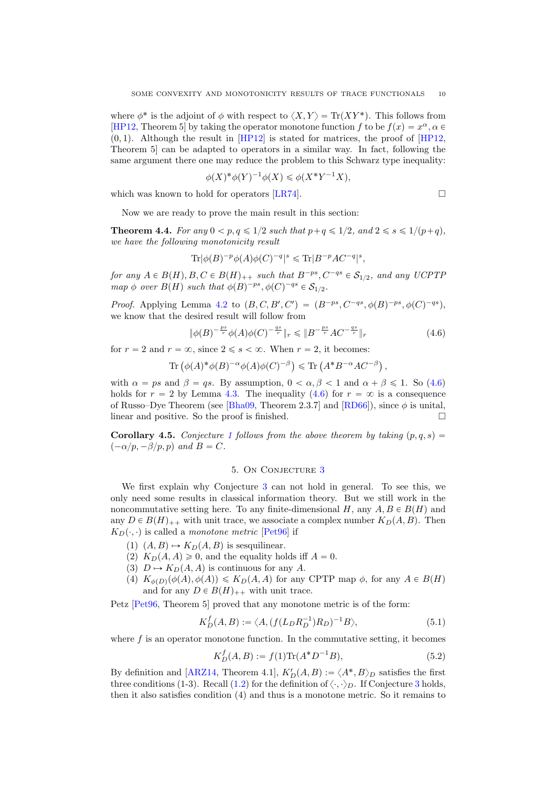where  $\phi^*$  is the adjoint of  $\phi$  with respect to  $\langle X, Y \rangle = \text{Tr}(XY^*)$ . This follows from [\[HP12,](#page-12-0) Theorem 5] by taking the operator monotone function f to be  $f(x) = x^{\alpha}, \alpha \in$  $p(0, 1)$ . Although the result in  $[HP12]$  is stated for matrices, the proof of  $[HP12]$ , Theorem 5] can be adapted to operators in a similar way. In fact, following the same argument there one may reduce the problem to this Schwarz type inequality:

$$
\phi(X)^{*}\phi(Y)^{-1}\phi(X) \leq \phi(X^{*}Y^{-1}X),
$$

which was known to hold for operators [\[LR74\]](#page-12-11).

$$
\qquad \qquad \Box
$$

Now we are ready to prove the main result in this section:

<span id="page-9-0"></span>**Theorem 4.4.** For any  $0 < p, q \leq 1/2$  such that  $p+q \leq 1/2$ , and  $2 \leq s \leq 1/(p+q)$ , we have the following monotonicity result

$$
\mathrm{Tr}|\phi(B)^{-p}\phi(A)\phi(C)^{-q}|^s \leqslant \mathrm{Tr}|B^{-p}AC^{-q}|^s,
$$

for any  $A \in B(H), B, C \in B(H)_{++}$  such that  $B^{-ps}, C^{-qs} \in S_{1/2}$ , and any UCPTP map  $\phi$  over  $B(H)$  such that  $\phi(B)^{-ps}$ ,  $\phi(C)^{-qs} \in \mathcal{S}_{1/2}$ .

*Proof.* Applying Lemma [4.2](#page-7-5) to  $(B, C, B', C') = (B^{-ps}, C^{-qs}, \phi(B)^{-ps}, \phi(C)^{-qs})$ , we know that the desired result will follow from

<span id="page-9-2"></span>
$$
\|\phi(B)^{-\frac{ps}{r}}\phi(A)\phi(C)^{-\frac{qs}{r}}\|_{r} \leqslant \|B^{-\frac{ps}{r}}AC^{-\frac{qs}{r}}\|_{r}
$$
\n(4.6)

for  $r = 2$  and  $r = \infty$ , since  $2 \le s < \infty$ . When  $r = 2$ , it becomes:

Tr 
$$
(\phi(A)^* \phi(B)^{-\alpha} \phi(A) \phi(C)^{-\beta}) \le \text{Tr}(A^* B^{-\alpha} A C^{-\beta}),
$$

with  $\alpha = ps$  and  $\beta = qs$ . By assumption,  $0 < \alpha, \beta < 1$  and  $\alpha + \beta \le 1$ . So [\(4.6\)](#page-9-2) holds for  $r = 2$  by Lemma [4.3.](#page-8-2) The inequality [\(4.6\)](#page-9-2) for  $r = \infty$  is a consequence of Russo–Dye Theorem (see [\[Bha09,](#page-12-12) Theorem 2.3.7] and [\[RD66\]](#page-13-3)), since  $\phi$  is unital, linear and positive. So the proof is finished.

<span id="page-9-1"></span>**Corollary 4.5.** Conjecture [1](#page-1-1) follows from the above theorem by taking  $(p, q, s)$  =  $(-\alpha/p, -\beta/p, p)$  and  $B = C$ .

# 5. On Conjecture [3](#page-2-0)

We first explain why Conjecture [3](#page-2-0) can not hold in general. To see this, we only need some results in classical information theory. But we still work in the noncommutative setting here. To any finite-dimensional H, any  $A, B \in B(H)$  and any  $D \in B(H)_{++}$  with unit trace, we associate a complex number  $K_D(A, B)$ . Then  $K_D(\cdot, \cdot)$  is called a monotone metric [\[Pet96\]](#page-13-0) if

- (1)  $(A, B) \mapsto K_D(A, B)$  is sesquilinear.
- (2)  $K_D(A, A) \geq 0$ , and the equality holds iff  $A = 0$ .
- (3)  $D \mapsto K_D(A, A)$  is continuous for any A.
- (4)  $K_{\phi(D)}(\phi(A), \phi(A)) \leq K_D(A, A)$  for any CPTP map  $\phi$ , for any  $A \in B(H)$ and for any  $D \in B(H)_{++}$  with unit trace.

Petz [\[Pet96,](#page-13-0) Theorem 5] proved that any monotone metric is of the form:

<span id="page-9-3"></span>
$$
K_D^f(A, B) := \langle A, (f(L_D R_D^{-1}) R_D)^{-1} B \rangle,
$$
\n(5.1)

where  $f$  is an operator monotone function. In the commutative setting, it becomes

<span id="page-9-4"></span>
$$
K_D^f(A, B) := f(1)\text{Tr}(A^*D^{-1}B),\tag{5.2}
$$

By definition and [\[ARZ14,](#page-12-2) Theorem 4.1],  $K'_D(A, B) := \langle A^*, B \rangle_D$  satisfies the first three conditions (1-3). Recall [\(1.2\)](#page-2-1) for the definition of  $\langle \cdot, \cdot \rangle_D$ . If Conjecture [3](#page-2-0) holds, then it also satisfies condition (4) and thus is a monotone metric. So it remains to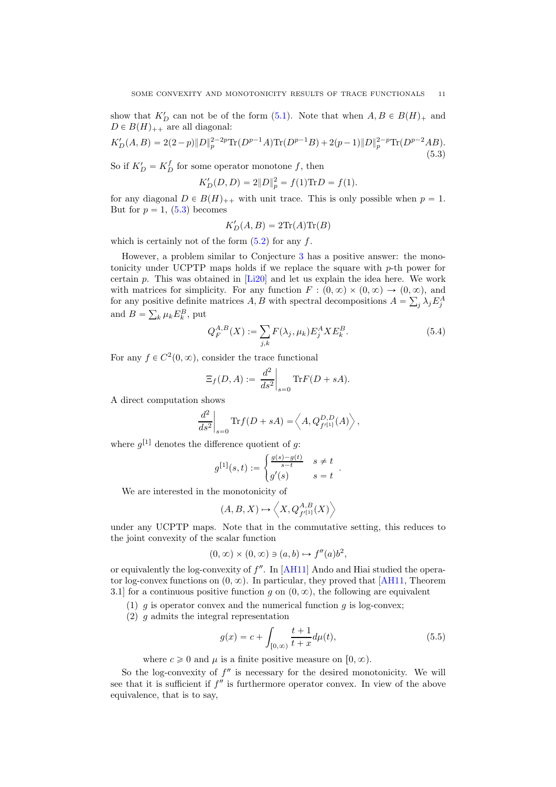show that  $K_D'$  can not be of the form [\(5.1\)](#page-9-3). Note that when  $A, B \in B(H)_+$  and  $D \in B(H)_{++}$  are all diagonal:

<span id="page-10-0"></span>
$$
K'_D(A,B) = 2(2-p)\|D\|_p^{2-2p}\text{Tr}(D^{p-1}A)\text{Tr}(D^{p-1}B) + 2(p-1)\|D\|_p^{2-p}\text{Tr}(D^{p-2}AB). \tag{5.3}
$$

So if  $K'_D = K_D^f$  for some operator monotone f, then

$$
K'_D(D, D) = 2||D||_p^2 = f(1)\text{Tr}D = f(1).
$$

for any diagonal  $D \in B(H)_{++}$  with unit trace. This is only possible when  $p = 1$ . But for  $p = 1$ , [\(5.3\)](#page-10-0) becomes

$$
K'_D(A, B) = 2\text{Tr}(A)\text{Tr}(B)
$$

which is certainly not of the form  $(5.2)$  for any f.

However, a problem similar to Conjecture [3](#page-2-0) has a positive answer: the monotonicity under UCPTP maps holds if we replace the square with  $p$ -th power for certain p. This was obtained in [\[Li20\]](#page-12-13) and let us explain the idea here. We work with matrices for simplicity. For any function  $F : (0, \infty) \times (0, \infty) \to (0, \infty)$ , and for any positive definite matrices A, B with spectral decompositions  $A = \sum_j \lambda_j E_j^A$ and  $B = \sum_{k} \mu_k E_k^B$ , put

$$
Q_F^{A,B}(X) := \sum_{j,k} F(\lambda_j, \mu_k) E_j^A X E_k^B.
$$
 (5.4)

For any  $f \in C^2(0, \infty)$ , consider the trace functional

$$
\Xi_f(D,A) := \left. \frac{d^2}{ds^2} \right|_{s=0} \text{Tr} F(D+sA).
$$

A direct computation shows

$$
\left. \frac{d^2}{ds^2} \right|_{s=0} \text{Tr} f(D+sA) = \left\langle A, Q_{f^{\prime}[1]}^{D,D}(A) \right\rangle,
$$

where  $g^{[1]}$  denotes the difference quotient of g:

$$
g^{[1]}(s,t) := \begin{cases} \frac{g(s) - g(t)}{s - t} & s \neq t \\ g'(s) & s = t \end{cases}.
$$

We are interested in the monotonicity of

$$
(A, B, X) \mapsto \left\langle X, Q_{f'[1]}^{A,B}(X) \right\rangle
$$

under any UCPTP maps. Note that in the commutative setting, this reduces to the joint convexity of the scalar function

$$
(0, \infty) \times (0, \infty) \ni (a, b) \mapsto f''(a)b^2,
$$

or equivalently the log-convexity of  $f''$ . In [\[AH11\]](#page-12-6) Ando and Hiai studied the operator log-convex functions on  $(0, \infty)$ . In particular, they proved that [\[AH11,](#page-12-6) Theorem 3.1] for a continuous positive function g on  $(0, \infty)$ , the following are equivalent

- (1)  $g$  is operator convex and the numerical function  $g$  is log-convex;
- (2) g admits the integral representation

<span id="page-10-1"></span>
$$
g(x) = c + \int_{[0,\infty)} \frac{t+1}{t+x} d\mu(t),
$$
\n(5.5)

where  $c \geq 0$  and  $\mu$  is a finite positive measure on  $[0, \infty)$ .

So the log-convexity of  $f''$  is necessary for the desired monotonicity. We will see that it is sufficient if  $f''$  is furthermore operator convex. In view of the above equivalence, that is to say,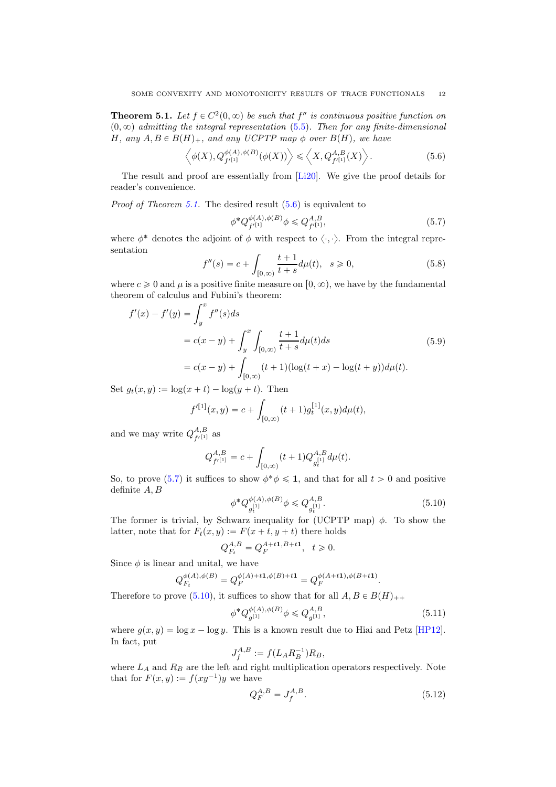<span id="page-11-0"></span>**Theorem 5.1.** Let  $f \in C^2(0, \infty)$  be such that  $f''$  is continuous positive function on  $(0, \infty)$  admitting the integral representation [\(5.5\)](#page-10-1). Then for any finite-dimensional H, any  $A, B \in B(H)_+$ , and any UCPTP map  $\phi$  over  $B(H)$ , we have

<span id="page-11-1"></span>
$$
\left\langle \phi(X), Q_{f'^{[1]}}^{\phi(A), \phi(B)}(\phi(X)) \right\rangle \leq \left\langle X, Q_{f'^{[1]}}^{A,B}(X) \right\rangle. \tag{5.6}
$$

The result and proof are essentially from [\[Li20\]](#page-12-13). We give the proof details for reader's convenience.

*Proof of Theorem [5.1.](#page-11-0)* The desired result  $(5.6)$  is equivalent to

<span id="page-11-2"></span>
$$
\phi^* Q_{f'^{[1]}}^{\phi(A),\phi(B)} \phi \leq Q_{f'^{[1]}}^{A,B},\tag{5.7}
$$

where  $\phi^*$  denotes the adjoint of  $\phi$  with respect to  $\langle \cdot, \cdot \rangle$ . From the integral representation

$$
f''(s) = c + \int_{[0,\infty)} \frac{t+1}{t+s} d\mu(t), \quad s \ge 0,
$$
\n(5.8)

where  $c \geq 0$  and  $\mu$  is a positive finite measure on  $[0, \infty)$ , we have by the fundamental theorem of calculus and Fubini's theorem:

$$
f'(x) - f'(y) = \int_{y}^{x} f''(s)ds
$$
  
=  $c(x - y) + \int_{y}^{x} \int_{[0,\infty)} \frac{t+1}{t+s} d\mu(t)ds$  (5.9)  
=  $c(x - y) + \int_{[0,\infty)} (t+1)(\log(t+x) - \log(t+y))d\mu(t).$ 

Set  $g_t(x, y) := \log(x + t) - \log(y + t)$ . Then

$$
f'^{[1]}(x,y) = c + \int_{[0,\infty)} (t+1)g_t^{[1]}(x,y)d\mu(t),
$$

and we may write  $Q_{f'[1]}^{A,B}$  as

$$
Q^{A,B}_{f'^{[1]}} = c + \int_{[0,\infty)} (t+1) Q^{A,B}_{g_t^{[1]}} d\mu(t).
$$

So, to prove [\(5.7\)](#page-11-2) it suffices to show  $\phi^* \phi \leq 1$ , and that for all  $t > 0$  and positive definite A, B

<span id="page-11-3"></span>
$$
\phi^* Q_{g_t^{[1]}}^{\phi(A),\phi(B)} \phi \leq Q_{g_t^{[1]}}^{A,B}.
$$
\n(5.10)

The former is trivial, by Schwarz inequality for (UCPTP map)  $\phi$ . To show the latter, note that for  $F_t(x, y) := F(x + t, y + t)$  there holds

$$
Q_{F_t}^{A,B} = Q_F^{A+t1,B+t1}, \ \ t \geq 0.
$$

Since  $\phi$  is linear and unital, we have

$$
Q_{F_t}^{\phi(A),\phi(B)} = Q_F^{\phi(A)+t\mathbf{1},\phi(B)+t\mathbf{1}} = Q_F^{\phi(A+t\mathbf{1}),\phi(B+t\mathbf{1})}.
$$

Therefore to prove [\(5.10\)](#page-11-3), it suffices to show that for all  $A, B \in B(H)_{++}$ 

$$
\phi^* Q_{g^{[1]}}^{\phi(A),\phi(B)} \phi \leq Q_{g^{[1]}}^{A,B},\tag{5.11}
$$

where  $g(x, y) = \log x - \log y$ . This is a known result due to Hiai and Petz [\[HP12\]](#page-12-0). In fact, put

$$
J_f^{A,B} := f(L_A R_B^{-1}) R_B,
$$

where  $L_A$  and  $R_B$  are the left and right multiplication operators respectively. Note that for  $F(x, y) := f(xy^{-1})y$  we have

<span id="page-11-4"></span>
$$
Q_F^{A,B} = J_f^{A,B}.\tag{5.12}
$$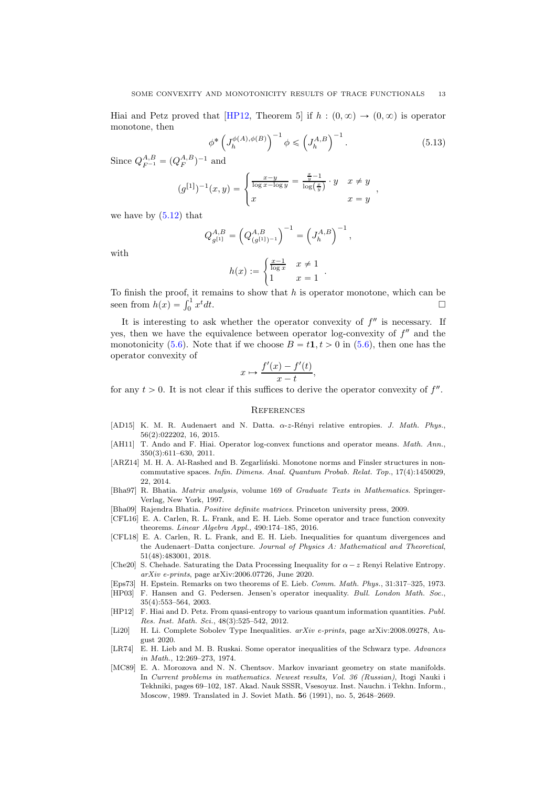Hiai and Petz proved that [\[HP12,](#page-12-0) Theorem 5] if  $h : (0, \infty) \to (0, \infty)$  is operator monotone, then

$$
\phi^* \left( J_h^{\phi(A), \phi(B)} \right)^{-1} \phi \leq \left( J_h^{A, B} \right)^{-1} . \tag{5.13}
$$

.

Since  $Q_{F^{-1}}^{A,B} = (Q_{F}^{A,B})^{-1}$  and

$$
(g^{[1]})^{-1}(x,y) = \begin{cases} \frac{x-y}{\log x - \log y} = \frac{\frac{x}{y} - 1}{\log(\frac{x}{y})} \cdot y & x \neq y \\ x & x = y \end{cases},
$$

we have by  $(5.12)$  that

$$
Q_{g^{[1]}}^{A,B} = \left(Q_{(g^{[1]})^{-1}}^{A,B}\right)^{-1} = \left(J_h^{A,B}\right)^{-1},
$$

with

$$
h(x) := \begin{cases} \frac{x-1}{\log x} & x \neq 1 \\ 1 & x = 1 \end{cases}
$$

To finish the proof, it remains to show that  $h$  is operator monotone, which can be seen from  $h(x) = \int_0^1 x$  $t$ dt.

It is interesting to ask whether the operator convexity of  $f''$  is necessary. If yes, then we have the equivalence between operator log-convexity of  $f''$  and the monotonicity [\(5.6\)](#page-11-1). Note that if we choose  $B = t1, t > 0$  in (5.6), then one has the operator convexity of

$$
x \mapsto \frac{f'(x) - f'(t)}{x - t},
$$

for any  $t > 0$ . It is not clear if this suffices to derive the operator convexity of  $f''$ .

## **REFERENCES**

- <span id="page-12-10"></span>[AD15] K. M. R. Audenaert and N. Datta. α-z-R´enyi relative entropies. *J. Math. Phys.*, 56(2):022202, 16, 2015.
- <span id="page-12-6"></span>[AH11] T. Ando and F. Hiai. Operator log-convex functions and operator means. *Math. Ann.*, 350(3):611–630, 2011.
- <span id="page-12-2"></span>[ARZ14] M. H. A. Al-Rashed and B. Zegarliński. Monotone norms and Finsler structures in noncommutative spaces. *Infin. Dimens. Anal. Quantum Probab. Relat. Top.*, 17(4):1450029, 22, 2014.
- <span id="page-12-9"></span>[Bha97] R. Bhatia. *Matrix analysis*, volume 169 of *Graduate Texts in Mathematics*. Springer-Verlag, New York, 1997.
- <span id="page-12-12"></span>[Bha09] Rajendra Bhatia. *Positive definite matrices*. Princeton university press, 2009.
- <span id="page-12-1"></span>[CFL16] E. A. Carlen, R. L. Frank, and E. H. Lieb. Some operator and trace function convexity theorems. *Linear Algebra Appl.*, 490:174–185, 2016.
- <span id="page-12-8"></span>[CFL18] E. A. Carlen, R. L. Frank, and E. H. Lieb. Inequalities for quantum divergences and the Audenaert–Datta conjecture. *Journal of Physics A: Mathematical and Theoretical*, 51(48):483001, 2018.
- <span id="page-12-3"></span>[Che20] S. Chehade. Saturating the Data Processing Inequality for  $\alpha - z$  Renyi Relative Entropy. *arXiv e-prints*, page arXiv:2006.07726, June 2020.
- <span id="page-12-7"></span>[Eps73] H. Epstein. Remarks on two theorems of E. Lieb. *Comm. Math. Phys.*, 31:317–325, 1973.
- <span id="page-12-4"></span>[HP03] F. Hansen and G. Pedersen. Jensen's operator inequality. *Bull. London Math. Soc.*, 35(4):553–564, 2003.
- <span id="page-12-0"></span>[HP12] F. Hiai and D. Petz. From quasi-entropy to various quantum information quantities. *Publ. Res. Inst. Math. Sci.*, 48(3):525–542, 2012.
- <span id="page-12-13"></span>[Li20] H. Li. Complete Sobolev Type Inequalities. *arXiv e-prints*, page arXiv:2008.09278, August 2020.
- <span id="page-12-11"></span>[LR74] E. H. Lieb and M. B. Ruskai. Some operator inequalities of the Schwarz type. *Advances in Math.*, 12:269–273, 1974.
- <span id="page-12-5"></span>[MC89] E. A. Morozova and N. N. Chentsov. Markov invariant geometry on state manifolds. In *Current problems in mathematics. Newest results, Vol. 36 (Russian)*, Itogi Nauki i Tekhniki, pages 69–102, 187. Akad. Nauk SSSR, Vsesoyuz. Inst. Nauchn. i Tekhn. Inform., Moscow, 1989. Translated in J. Soviet Math. 56 (1991), no. 5, 2648–2669.